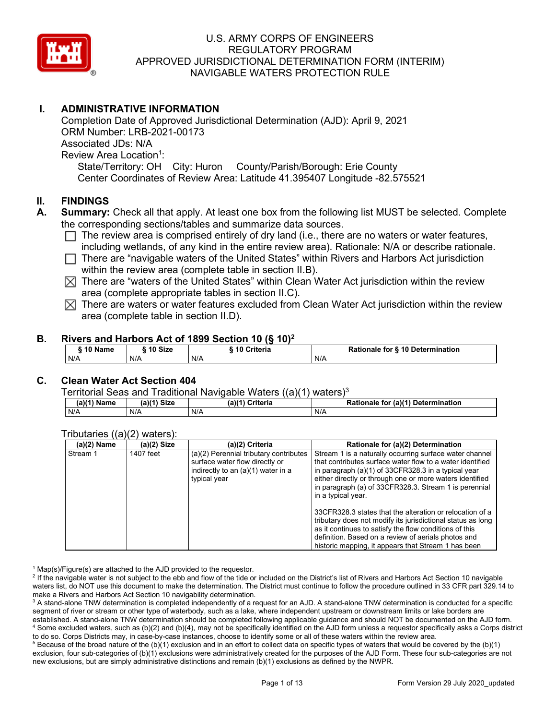

# **I. ADMINISTRATIVE INFORMATION**

Completion Date of Approved Jurisdictional Determination (AJD): April 9, 2021 ORM Number: LRB-2021-00173 Associated JDs: N/A Review Area Location<sup>1</sup>: State/Territory: OH City: Huron County/Parish/Borough: Erie County Center Coordinates of Review Area: Latitude 41.395407 Longitude -82.575521

#### **II. FINDINGS**

- **A. Summary:** Check all that apply. At least one box from the following list MUST be selected. Complete the corresponding sections/tables and summarize data sources.
	- $\Box$  The review area is comprised entirely of dry land (i.e., there are no waters or water features, including wetlands, of any kind in the entire review area). Rationale: N/A or describe rationale.
	- $\Box$  There are "navigable waters of the United States" within Rivers and Harbors Act jurisdiction within the review area (complete table in section II.B).
	- $\boxtimes$  There are "waters of the United States" within Clean Water Act jurisdiction within the review area (complete appropriate tables in section II.C).
	- $\boxtimes$  There are waters or water features excluded from Clean Water Act jurisdiction within the review area (complete table in section II.D).

#### **B. Rivers and Harbors Act of 1899 Section 10 (§ 10)2**

| ີ <sup>4</sup> Name | 10 Size | <b>Criteria</b> | Rationale for § 10 Determination |  |  |  |
|---------------------|---------|-----------------|----------------------------------|--|--|--|
| N/A                 | N/A     | N/A             | N/A                              |  |  |  |

# **C. Clean Water Act Section 404**

Territorial Seas and Traditional Navigable Waters  $((a)(1)$  waters)<sup>3</sup>

| $(a)(1)$ $\cdot$<br>Name | $(a)$ $(4)$<br><b>Size</b> | $(a)$ $(4)$<br>Criteria | $ur$ (a) $(4)$<br><b>Determination</b><br>tor<br>Rationale |
|--------------------------|----------------------------|-------------------------|------------------------------------------------------------|
| N/A                      | N/A                        | N/A                     | N/A                                                        |

#### Tributaries ((a)(2) waters):

| $(a)(2)$ Name | $(a)(2)$ Size | (a)(2) Criteria                                                                                                                | Rationale for (a)(2) Determination                                                                                                                                                                                                                                                                                     |
|---------------|---------------|--------------------------------------------------------------------------------------------------------------------------------|------------------------------------------------------------------------------------------------------------------------------------------------------------------------------------------------------------------------------------------------------------------------------------------------------------------------|
| Stream 1      | 1407 feet     | (a)(2) Perennial tributary contributes<br>surface water flow directly or<br>indirectly to an (a)(1) water in a<br>typical year | Stream 1 is a naturally occurring surface water channel<br>that contributes surface water flow to a water identified<br>in paragraph (a)(1) of 33CFR328.3 in a typical year<br>either directly or through one or more waters identified<br>in paragraph (a) of 33CFR328.3. Stream 1 is perennial<br>in a typical year. |
|               |               |                                                                                                                                | 33CFR328.3 states that the alteration or relocation of a<br>tributary does not modify its jurisdictional status as long<br>as it continues to satisfy the flow conditions of this<br>definition. Based on a review of aerials photos and<br>historic mapping, it appears that Stream 1 has been                        |

 $1$  Map(s)/Figure(s) are attached to the AJD provided to the requestor.

<sup>2</sup> If the navigable water is not subject to the ebb and flow of the tide or included on the District's list of Rivers and Harbors Act Section 10 navigable waters list, do NOT use this document to make the determination. The District must continue to follow the procedure outlined in 33 CFR part 329.14 to make a Rivers and Harbors Act Section 10 navigability determination.

<sup>3</sup> A stand-alone TNW determination is completed independently of a request for an AJD. A stand-alone TNW determination is conducted for a specific segment of river or stream or other type of waterbody, such as a lake, where independent upstream or downstream limits or lake borders are established. A stand-alone TNW determination should be completed following applicable guidance and should NOT be documented on the AJD form. <sup>4</sup> Some excluded waters, such as (b)(2) and (b)(4), may not be specifically identified on the AJD form unless a requestor specifically asks a Corps district to do so. Corps Districts may, in case-by-case instances, choose to identify some or all of these waters within the review area.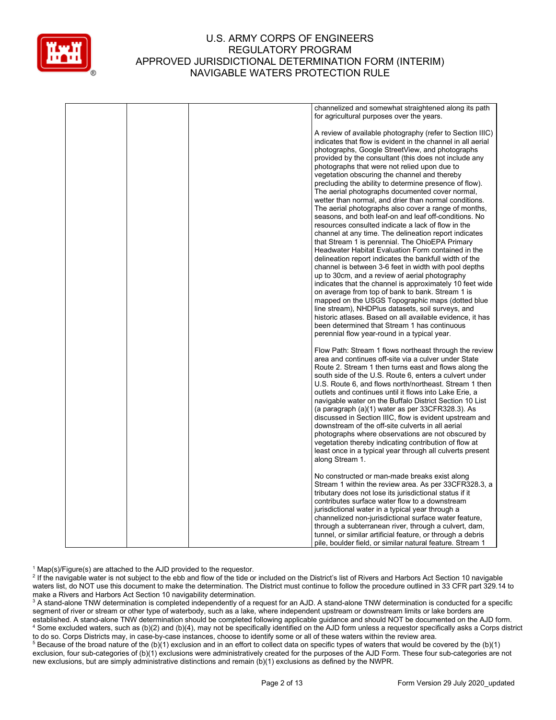

|  | channelized and somewhat straightened along its path<br>for agricultural purposes over the years.                                                                                                                                                                                                                                                                                                                                                                                                                                                                                                                                                                                                                                                                                                                                                                                                                                                                                                                                                                                                                                                                                                                                                                                                                                                                                                              |
|--|----------------------------------------------------------------------------------------------------------------------------------------------------------------------------------------------------------------------------------------------------------------------------------------------------------------------------------------------------------------------------------------------------------------------------------------------------------------------------------------------------------------------------------------------------------------------------------------------------------------------------------------------------------------------------------------------------------------------------------------------------------------------------------------------------------------------------------------------------------------------------------------------------------------------------------------------------------------------------------------------------------------------------------------------------------------------------------------------------------------------------------------------------------------------------------------------------------------------------------------------------------------------------------------------------------------------------------------------------------------------------------------------------------------|
|  | A review of available photography (refer to Section IIIC)<br>indicates that flow is evident in the channel in all aerial<br>photographs, Google StreetView, and photographs<br>provided by the consultant (this does not include any<br>photographs that were not relied upon due to<br>vegetation obscuring the channel and thereby<br>precluding the ability to determine presence of flow).<br>The aerial photographs documented cover normal,<br>wetter than normal, and drier than normal conditions.<br>The aerial photographs also cover a range of months,<br>seasons, and both leaf-on and leaf off-conditions. No<br>resources consulted indicate a lack of flow in the<br>channel at any time. The delineation report indicates<br>that Stream 1 is perennial. The OhioEPA Primary<br>Headwater Habitat Evaluation Form contained in the<br>delineation report indicates the bankfull width of the<br>channel is between 3-6 feet in width with pool depths<br>up to 30cm, and a review of aerial photography<br>indicates that the channel is approximately 10 feet wide<br>on average from top of bank to bank. Stream 1 is<br>mapped on the USGS Topographic maps (dotted blue<br>line stream), NHDPlus datasets, soil surveys, and<br>historic atlases. Based on all available evidence, it has<br>been determined that Stream 1 has continuous<br>perennial flow year-round in a typical year. |
|  | Flow Path: Stream 1 flows northeast through the review<br>area and continues off-site via a culver under State<br>Route 2. Stream 1 then turns east and flows along the<br>south side of the U.S. Route 6, enters a culvert under<br>U.S. Route 6, and flows north/northeast. Stream 1 then<br>outlets and continues until it flows into Lake Erie, a<br>navigable water on the Buffalo District Section 10 List<br>(a paragraph $(a)(1)$ water as per 33CFR328.3). As<br>discussed in Section IIIC, flow is evident upstream and<br>downstream of the off-site culverts in all aerial<br>photographs where observations are not obscured by<br>vegetation thereby indicating contribution of flow at<br>least once in a typical year through all culverts present<br>along Stream 1.                                                                                                                                                                                                                                                                                                                                                                                                                                                                                                                                                                                                                          |
|  | No constructed or man-made breaks exist along<br>Stream 1 within the review area. As per 33CFR328.3, a<br>tributary does not lose its jurisdictional status if it<br>contributes surface water flow to a downstream<br>jurisdictional water in a typical year through a<br>channelized non-jurisdictional surface water feature,<br>through a subterranean river, through a culvert, dam,<br>tunnel, or similar artificial feature, or through a debris<br>pile, boulder field, or similar natural feature. Stream 1                                                                                                                                                                                                                                                                                                                                                                                                                                                                                                                                                                                                                                                                                                                                                                                                                                                                                           |

 $1$  Map(s)/Figure(s) are attached to the AJD provided to the requestor.

<sup>2</sup> If the navigable water is not subject to the ebb and flow of the tide or included on the District's list of Rivers and Harbors Act Section 10 navigable waters list, do NOT use this document to make the determination. The District must continue to follow the procedure outlined in 33 CFR part 329.14 to make a Rivers and Harbors Act Section 10 navigability determination.

<sup>3</sup> A stand-alone TNW determination is completed independently of a request for an AJD. A stand-alone TNW determination is conducted for a specific segment of river or stream or other type of waterbody, such as a lake, where independent upstream or downstream limits or lake borders are established. A stand-alone TNW determination should be completed following applicable guidance and should NOT be documented on the AJD form. <sup>4</sup> Some excluded waters, such as (b)(2) and (b)(4), may not be specifically identified on the AJD form unless a requestor specifically asks a Corps district to do so. Corps Districts may, in case-by-case instances, choose to identify some or all of these waters within the review area.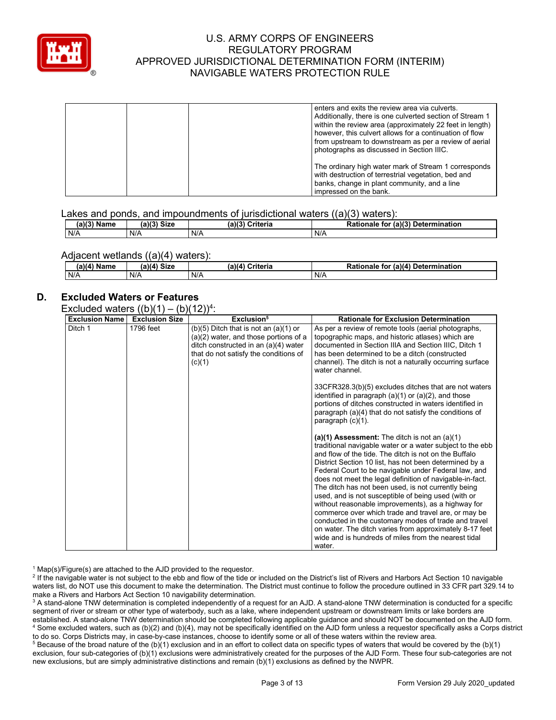

| enters and exits the review area via culverts.<br>Additionally, there is one culverted section of Stream 1<br>within the review area (approximately 22 feet in length)<br>however, this culvert allows for a continuation of flow<br>from upstream to downstream as per a review of aerial<br>photographs as discussed in Section IIIC. |
|-----------------------------------------------------------------------------------------------------------------------------------------------------------------------------------------------------------------------------------------------------------------------------------------------------------------------------------------|
| The ordinary high water mark of Stream 1 corresponds<br>with destruction of terrestrial vegetation, bed and<br>banks, change in plant community, and a line<br>impressed on the bank.                                                                                                                                                   |

#### Lakes and ponds, and impoundments of jurisdictional waters ((a)(3) waters):

| (a)(?')<br>Name | 'a)(3) Size | $(a)$ $(^{\circ}$<br>Criteria | (a)(3)<br>Determination<br>Rationale<br>for |
|-----------------|-------------|-------------------------------|---------------------------------------------|
| N/A             | N/A         | N/A                           | N/A                                         |

#### Adjacent wetlands ((a)(4) waters):

| (a)(4) Name | $(a)(4)$ Size | Criteria<br>(a)(4) | າ for (a)(4) Determination<br>Rationale |
|-------------|---------------|--------------------|-----------------------------------------|
| N/A         | N/A           | N/A                | N/A                                     |

# **D. Excluded Waters or Features**

#### Excluded waters  $((b)(1) - (b)(12))^4$ :

| <b>Exclusion Name</b> | $\mathbf{u}$ $\mathbf{v}$<br><b>Exclusion Size</b> | — <i>; ;</i> ·<br>Exclusion <sup>5</sup>                                                                                                                                        | <b>Rationale for Exclusion Determination</b>                                                                                                                                                                                                                                                                                                                                                                                                                                                                                                                                                                                                                                                                                                                        |
|-----------------------|----------------------------------------------------|---------------------------------------------------------------------------------------------------------------------------------------------------------------------------------|---------------------------------------------------------------------------------------------------------------------------------------------------------------------------------------------------------------------------------------------------------------------------------------------------------------------------------------------------------------------------------------------------------------------------------------------------------------------------------------------------------------------------------------------------------------------------------------------------------------------------------------------------------------------------------------------------------------------------------------------------------------------|
| Ditch 1               | 1796 feet                                          | $(b)(5)$ Ditch that is not an $(a)(1)$ or<br>$(a)(2)$ water, and those portions of a<br>ditch constructed in an (a)(4) water<br>that do not satisfy the conditions of<br>(c)(1) | As per a review of remote tools (aerial photographs,<br>topographic maps, and historic atlases) which are<br>documented in Section IIIA and Section IIIC, Ditch 1<br>has been determined to be a ditch (constructed<br>channel). The ditch is not a naturally occurring surface<br>water channel.                                                                                                                                                                                                                                                                                                                                                                                                                                                                   |
|                       |                                                    |                                                                                                                                                                                 | 33CFR328.3(b)(5) excludes ditches that are not waters<br>identified in paragraph $(a)(1)$ or $(a)(2)$ , and those<br>portions of ditches constructed in waters identified in<br>paragraph (a)(4) that do not satisfy the conditions of<br>paragraph $(c)(1)$ .                                                                                                                                                                                                                                                                                                                                                                                                                                                                                                      |
|                       |                                                    |                                                                                                                                                                                 | (a)(1) Assessment: The ditch is not an $(a)(1)$<br>traditional navigable water or a water subject to the ebb<br>and flow of the tide. The ditch is not on the Buffalo<br>District Section 10 list, has not been determined by a<br>Federal Court to be navigable under Federal law, and<br>does not meet the legal definition of navigable-in-fact.<br>The ditch has not been used, is not currently being<br>used, and is not susceptible of being used (with or<br>without reasonable improvements), as a highway for<br>commerce over which trade and travel are, or may be<br>conducted in the customary modes of trade and travel<br>on water. The ditch varies from approximately 8-17 feet<br>wide and is hundreds of miles from the nearest tidal<br>water. |

 $1$  Map(s)/Figure(s) are attached to the AJD provided to the requestor.

<sup>2</sup> If the navigable water is not subject to the ebb and flow of the tide or included on the District's list of Rivers and Harbors Act Section 10 navigable waters list, do NOT use this document to make the determination. The District must continue to follow the procedure outlined in 33 CFR part 329.14 to make a Rivers and Harbors Act Section 10 navigability determination.

<sup>3</sup> A stand-alone TNW determination is completed independently of a request for an AJD. A stand-alone TNW determination is conducted for a specific segment of river or stream or other type of waterbody, such as a lake, where independent upstream or downstream limits or lake borders are established. A stand-alone TNW determination should be completed following applicable guidance and should NOT be documented on the AJD form. <sup>4</sup> Some excluded waters, such as (b)(2) and (b)(4), may not be specifically identified on the AJD form unless a requestor specifically asks a Corps district to do so. Corps Districts may, in case-by-case instances, choose to identify some or all of these waters within the review area.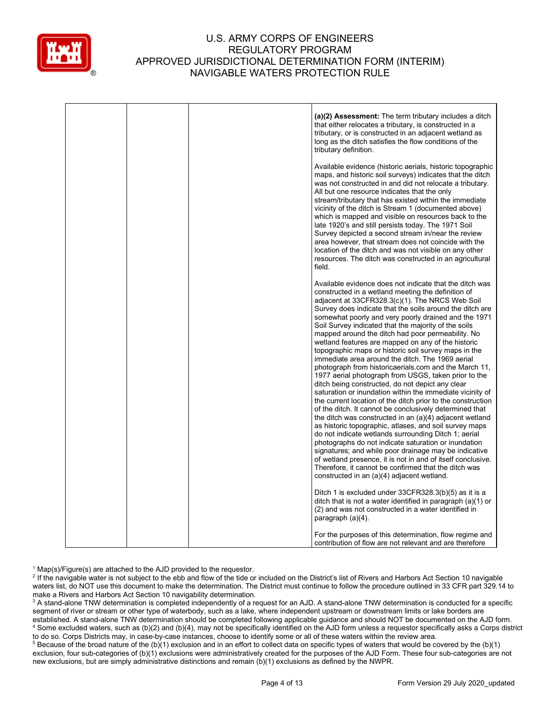

|  | (a)(2) Assessment: The term tributary includes a ditch<br>that either relocates a tributary, is constructed in a<br>tributary, or is constructed in an adjacent wetland as<br>long as the ditch satisfies the flow conditions of the<br>tributary definition.                                                                                                                                                                                                                                                                                                                                                                                                                                                                                                                                                                                                                                                                                                                                                                                                                                                                                                                                                                                                                                  |
|--|------------------------------------------------------------------------------------------------------------------------------------------------------------------------------------------------------------------------------------------------------------------------------------------------------------------------------------------------------------------------------------------------------------------------------------------------------------------------------------------------------------------------------------------------------------------------------------------------------------------------------------------------------------------------------------------------------------------------------------------------------------------------------------------------------------------------------------------------------------------------------------------------------------------------------------------------------------------------------------------------------------------------------------------------------------------------------------------------------------------------------------------------------------------------------------------------------------------------------------------------------------------------------------------------|
|  | Available evidence (historic aerials, historic topographic<br>maps, and historic soil surveys) indicates that the ditch<br>was not constructed in and did not relocate a tributary.<br>All but one resource indicates that the only<br>stream/tributary that has existed within the immediate<br>vicinity of the ditch is Stream 1 (documented above)<br>which is mapped and visible on resources back to the<br>late 1920's and still persists today. The 1971 Soil<br>Survey depicted a second stream in/near the review<br>area however, that stream does not coincide with the<br>location of the ditch and was not visible on any other<br>resources. The ditch was constructed in an agricultural<br>field.                                                                                                                                                                                                                                                                                                                                                                                                                                                                                                                                                                              |
|  | Available evidence does not indicate that the ditch was<br>constructed in a wetland meeting the definition of<br>adjacent at 33CFR328.3(c)(1). The NRCS Web Soil<br>Survey does indicate that the soils around the ditch are<br>somewhat poorly and very poorly drained and the 1971<br>Soil Survey indicated that the majority of the soils<br>mapped around the ditch had poor permeability. No<br>wetland features are mapped on any of the historic<br>topographic maps or historic soil survey maps in the<br>immediate area around the ditch. The 1969 aerial<br>photograph from historicaerials.com and the March 11,<br>1977 aerial photograph from USGS, taken prior to the<br>ditch being constructed, do not depict any clear<br>saturation or inundation within the immediate vicinity of<br>the current location of the ditch prior to the construction<br>of the ditch. It cannot be conclusively determined that<br>the ditch was constructed in an $(a)(4)$ adjacent wetland<br>as historic topographic, atlases, and soil survey maps<br>do not indicate wetlands surrounding Ditch 1; aerial<br>photographs do not indicate saturation or inundation<br>signatures; and while poor drainage may be indicative<br>of wetland presence, it is not in and of itself conclusive. |
|  | Therefore, it cannot be confirmed that the ditch was<br>constructed in an (a)(4) adjacent wetland.<br>Ditch 1 is excluded under 33CFR328.3(b)(5) as it is a<br>ditch that is not a water identified in paragraph $(a)(1)$ or<br>(2) and was not constructed in a water identified in<br>paragraph (a)(4).                                                                                                                                                                                                                                                                                                                                                                                                                                                                                                                                                                                                                                                                                                                                                                                                                                                                                                                                                                                      |
|  | For the purposes of this determination, flow regime and<br>contribution of flow are not relevant and are therefore                                                                                                                                                                                                                                                                                                                                                                                                                                                                                                                                                                                                                                                                                                                                                                                                                                                                                                                                                                                                                                                                                                                                                                             |

 $1$  Map(s)/Figure(s) are attached to the AJD provided to the requestor.

<sup>2</sup> If the navigable water is not subject to the ebb and flow of the tide or included on the District's list of Rivers and Harbors Act Section 10 navigable waters list, do NOT use this document to make the determination. The District must continue to follow the procedure outlined in 33 CFR part 329.14 to make a Rivers and Harbors Act Section 10 navigability determination.

<sup>3</sup> A stand-alone TNW determination is completed independently of a request for an AJD. A stand-alone TNW determination is conducted for a specific segment of river or stream or other type of waterbody, such as a lake, where independent upstream or downstream limits or lake borders are established. A stand-alone TNW determination should be completed following applicable guidance and should NOT be documented on the AJD form. <sup>4</sup> Some excluded waters, such as (b)(2) and (b)(4), may not be specifically identified on the AJD form unless a requestor specifically asks a Corps district to do so. Corps Districts may, in case-by-case instances, choose to identify some or all of these waters within the review area.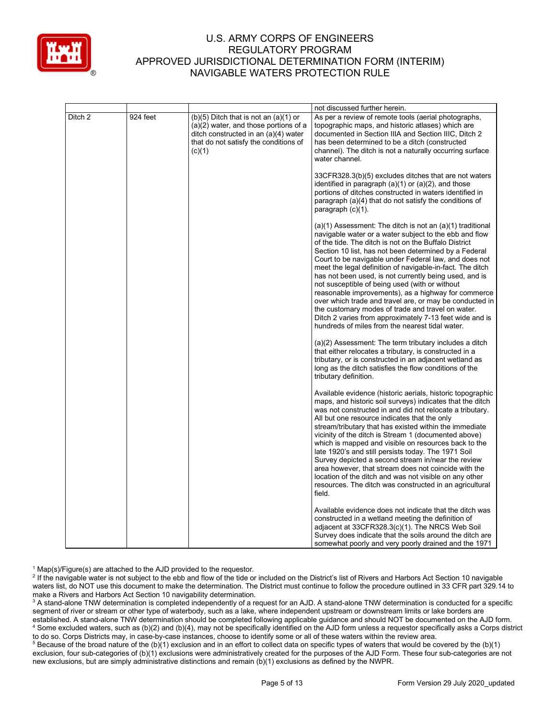

|         |          |                                                                                                                                                                                 | not discussed further herein.                                                                                                                                                                                                                                                                                                                                                                                                                                                                                                                                                                                                                                                                                                                                    |
|---------|----------|---------------------------------------------------------------------------------------------------------------------------------------------------------------------------------|------------------------------------------------------------------------------------------------------------------------------------------------------------------------------------------------------------------------------------------------------------------------------------------------------------------------------------------------------------------------------------------------------------------------------------------------------------------------------------------------------------------------------------------------------------------------------------------------------------------------------------------------------------------------------------------------------------------------------------------------------------------|
| Ditch 2 | 924 feet | $(b)(5)$ Ditch that is not an $(a)(1)$ or<br>$(a)(2)$ water, and those portions of a<br>ditch constructed in an (a)(4) water<br>that do not satisfy the conditions of<br>(c)(1) | As per a review of remote tools (aerial photographs,<br>topographic maps, and historic atlases) which are<br>documented in Section IIIA and Section IIIC, Ditch 2<br>has been determined to be a ditch (constructed<br>channel). The ditch is not a naturally occurring surface<br>water channel.                                                                                                                                                                                                                                                                                                                                                                                                                                                                |
|         |          |                                                                                                                                                                                 | 33CFR328.3(b)(5) excludes ditches that are not waters<br>identified in paragraph (a)(1) or (a)(2), and those<br>portions of ditches constructed in waters identified in<br>paragraph (a)(4) that do not satisfy the conditions of<br>paragraph (c)(1).                                                                                                                                                                                                                                                                                                                                                                                                                                                                                                           |
|         |          |                                                                                                                                                                                 | $(a)(1)$ Assessment: The ditch is not an $(a)(1)$ traditional<br>navigable water or a water subject to the ebb and flow<br>of the tide. The ditch is not on the Buffalo District<br>Section 10 list, has not been determined by a Federal<br>Court to be navigable under Federal law, and does not<br>meet the legal definition of navigable-in-fact. The ditch<br>has not been used, is not currently being used, and is<br>not susceptible of being used (with or without<br>reasonable improvements), as a highway for commerce<br>over which trade and travel are, or may be conducted in<br>the customary modes of trade and travel on water.<br>Ditch 2 varies from approximately 7-13 feet wide and is<br>hundreds of miles from the nearest tidal water. |
|         |          |                                                                                                                                                                                 | $(a)(2)$ Assessment: The term tributary includes a ditch<br>that either relocates a tributary, is constructed in a<br>tributary, or is constructed in an adjacent wetland as<br>long as the ditch satisfies the flow conditions of the<br>tributary definition.                                                                                                                                                                                                                                                                                                                                                                                                                                                                                                  |
|         |          |                                                                                                                                                                                 | Available evidence (historic aerials, historic topographic<br>maps, and historic soil surveys) indicates that the ditch<br>was not constructed in and did not relocate a tributary.<br>All but one resource indicates that the only<br>stream/tributary that has existed within the immediate<br>vicinity of the ditch is Stream 1 (documented above)<br>which is mapped and visible on resources back to the<br>late 1920's and still persists today. The 1971 Soil<br>Survey depicted a second stream in/near the review<br>area however, that stream does not coincide with the<br>location of the ditch and was not visible on any other<br>resources. The ditch was constructed in an agricultural<br>field.                                                |
|         |          |                                                                                                                                                                                 | Available evidence does not indicate that the ditch was<br>constructed in a wetland meeting the definition of<br>adjacent at 33CFR328.3(c)(1). The NRCS Web Soil<br>Survey does indicate that the soils around the ditch are<br>somewhat poorly and very poorly drained and the 1971                                                                                                                                                                                                                                                                                                                                                                                                                                                                             |

 $1$  Map(s)/Figure(s) are attached to the AJD provided to the requestor.

<sup>2</sup> If the navigable water is not subject to the ebb and flow of the tide or included on the District's list of Rivers and Harbors Act Section 10 navigable waters list, do NOT use this document to make the determination. The District must continue to follow the procedure outlined in 33 CFR part 329.14 to make a Rivers and Harbors Act Section 10 navigability determination.

<sup>3</sup> A stand-alone TNW determination is completed independently of a request for an AJD. A stand-alone TNW determination is conducted for a specific segment of river or stream or other type of waterbody, such as a lake, where independent upstream or downstream limits or lake borders are established. A stand-alone TNW determination should be completed following applicable guidance and should NOT be documented on the AJD form. <sup>4</sup> Some excluded waters, such as (b)(2) and (b)(4), may not be specifically identified on the AJD form unless a requestor specifically asks a Corps district to do so. Corps Districts may, in case-by-case instances, choose to identify some or all of these waters within the review area.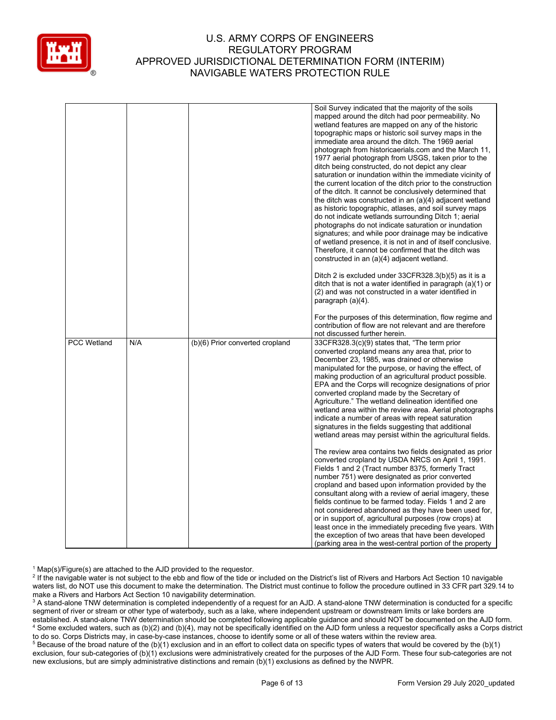

|     | Soil Survey indicated that the majority of the soils<br>mapped around the ditch had poor permeability. No<br>wetland features are mapped on any of the historic<br>topographic maps or historic soil survey maps in the<br>immediate area around the ditch. The 1969 aerial<br>photograph from historicaerials.com and the March 11,<br>1977 aerial photograph from USGS, taken prior to the<br>ditch being constructed, do not depict any clear<br>saturation or inundation within the immediate vicinity of<br>the current location of the ditch prior to the construction<br>of the ditch. It cannot be conclusively determined that<br>the ditch was constructed in an (a)(4) adjacent wetland<br>as historic topographic, atlases, and soil survey maps<br>do not indicate wetlands surrounding Ditch 1; aerial<br>photographs do not indicate saturation or inundation<br>signatures; and while poor drainage may be indicative<br>of wetland presence, it is not in and of itself conclusive.<br>Therefore, it cannot be confirmed that the ditch was<br>constructed in an (a)(4) adjacent wetland.<br>Ditch 2 is excluded under 33CFR328.3(b)(5) as it is a<br>ditch that is not a water identified in paragraph (a)(1) or<br>(2) and was not constructed in a water identified in<br>paragraph (a)(4).<br>For the purposes of this determination, flow regime and |
|-----|----------------------------------------------------------------------------------------------------------------------------------------------------------------------------------------------------------------------------------------------------------------------------------------------------------------------------------------------------------------------------------------------------------------------------------------------------------------------------------------------------------------------------------------------------------------------------------------------------------------------------------------------------------------------------------------------------------------------------------------------------------------------------------------------------------------------------------------------------------------------------------------------------------------------------------------------------------------------------------------------------------------------------------------------------------------------------------------------------------------------------------------------------------------------------------------------------------------------------------------------------------------------------------------------------------------------------------------------------------------------------|
|     | contribution of flow are not relevant and are therefore                                                                                                                                                                                                                                                                                                                                                                                                                                                                                                                                                                                                                                                                                                                                                                                                                                                                                                                                                                                                                                                                                                                                                                                                                                                                                                                    |
|     | not discussed further herein.                                                                                                                                                                                                                                                                                                                                                                                                                                                                                                                                                                                                                                                                                                                                                                                                                                                                                                                                                                                                                                                                                                                                                                                                                                                                                                                                              |
|     | 33CFR328.3(c)(9) states that, "The term prior<br>converted cropland means any area that, prior to<br>December 23, 1985, was drained or otherwise<br>manipulated for the purpose, or having the effect, of<br>making production of an agricultural product possible.<br>EPA and the Corps will recognize designations of prior<br>converted cropland made by the Secretary of<br>Agriculture." The wetland delineation identified one<br>wetland area within the review area. Aerial photographs<br>indicate a number of areas with repeat saturation<br>signatures in the fields suggesting that additional<br>wetland areas may persist within the agricultural fields.<br>The review area contains two fields designated as prior<br>converted cropland by USDA NRCS on April 1, 1991.<br>Fields 1 and 2 (Tract number 8375, formerly Tract<br>number 751) were designated as prior converted<br>cropland and based upon information provided by the<br>consultant along with a review of aerial imagery, these<br>fields continue to be farmed today. Fields 1 and 2 are<br>not considered abandoned as they have been used for,<br>or in support of, agricultural purposes (row crops) at<br>least once in the immediately preceding five years. With<br>the exception of two areas that have been developed                                                           |
| N/A | (b)(6) Prior converted cropland                                                                                                                                                                                                                                                                                                                                                                                                                                                                                                                                                                                                                                                                                                                                                                                                                                                                                                                                                                                                                                                                                                                                                                                                                                                                                                                                            |

 $1$  Map(s)/Figure(s) are attached to the AJD provided to the requestor.

<sup>2</sup> If the navigable water is not subject to the ebb and flow of the tide or included on the District's list of Rivers and Harbors Act Section 10 navigable waters list, do NOT use this document to make the determination. The District must continue to follow the procedure outlined in 33 CFR part 329.14 to make a Rivers and Harbors Act Section 10 navigability determination.

<sup>3</sup> A stand-alone TNW determination is completed independently of a request for an AJD. A stand-alone TNW determination is conducted for a specific segment of river or stream or other type of waterbody, such as a lake, where independent upstream or downstream limits or lake borders are established. A stand-alone TNW determination should be completed following applicable guidance and should NOT be documented on the AJD form. <sup>4</sup> Some excluded waters, such as (b)(2) and (b)(4), may not be specifically identified on the AJD form unless a requestor specifically asks a Corps district to do so. Corps Districts may, in case-by-case instances, choose to identify some or all of these waters within the review area.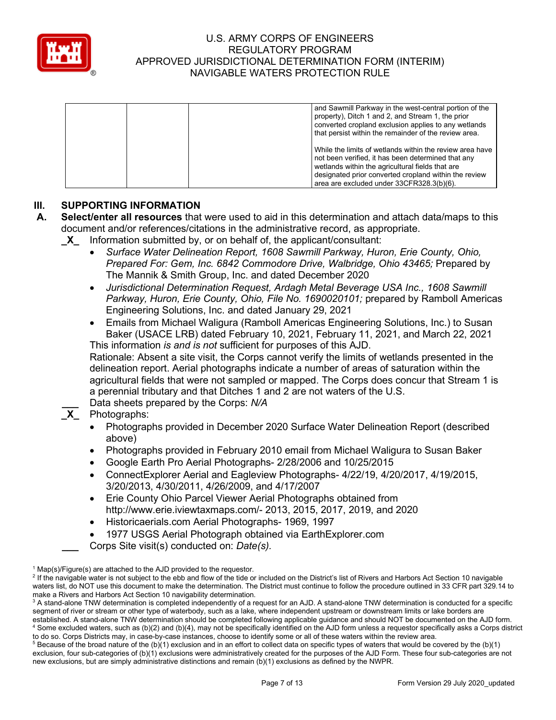

|  | and Sawmill Parkway in the west-central portion of the<br>property), Ditch 1 and 2, and Stream 1, the prior<br>converted cropland exclusion applies to any wetlands<br>that persist within the remainder of the review area.                                             |
|--|--------------------------------------------------------------------------------------------------------------------------------------------------------------------------------------------------------------------------------------------------------------------------|
|  | While the limits of wetlands within the review area have<br>not been verified, it has been determined that any<br>wetlands within the agricultural fields that are<br>designated prior converted cropland within the review<br>area are excluded under 33CFR328.3(b)(6). |

# **III. SUPPORTING INFORMATION**

- **A. Select/enter all resources** that were used to aid in this determination and attach data/maps to this document and/or references/citations in the administrative record, as appropriate.
	- **\_X\_** Information submitted by, or on behalf of, the applicant/consultant:
		- *Surface Water Delineation Report, 1608 Sawmill Parkway, Huron, Erie County, Ohio, Prepared For: Gem, Inc. 6842 Commodore Drive, Walbridge, Ohio 43465;* Prepared by The Mannik & Smith Group, Inc. and dated December 2020
		- *Jurisdictional Determination Request, Ardagh Metal Beverage USA Inc., 1608 Sawmill Parkway, Huron, Erie County, Ohio, File No. 1690020101;* prepared by Ramboll Americas Engineering Solutions, Inc. and dated January 29, 2021
		- Emails from Michael Waligura (Ramboll Americas Engineering Solutions, Inc.) to Susan Baker (USACE LRB) dated February 10, 2021, February 11, 2021, and March 22, 2021 This information *is and is not* sufficient for purposes of this AJD.

Rationale: Absent a site visit, the Corps cannot verify the limits of wetlands presented in the delineation report. Aerial photographs indicate a number of areas of saturation within the agricultural fields that were not sampled or mapped. The Corps does concur that Stream 1 is a perennial tributary and that Ditches 1 and 2 are not waters of the U.S.

**\_\_\_** Data sheets prepared by the Corps: *N/A*

# **\_X\_** Photographs:

- Photographs provided in December 2020 Surface Water Delineation Report (described above)
- Photographs provided in February 2010 email from Michael Waligura to Susan Baker
- Google Earth Pro Aerial Photographs- 2/28/2006 and 10/25/2015
- ConnectExplorer Aerial and Eagleview Photographs- 4/22/19, 4/20/2017, 4/19/2015, 3/20/2013, 4/30/2011, 4/26/2009, and 4/17/2007
- Erie County Ohio Parcel Viewer Aerial Photographs obtained from http://www.erie.iviewtaxmaps.com/- 2013, 2015, 2017, 2019, and 2020
- Historicaerials.com Aerial Photographs- 1969, 1997
- 1977 USGS Aerial Photograph obtained via EarthExplorer.com
- **\_\_\_** Corps Site visit(s) conducted on: *Date(s).*

 $1$  Map(s)/Figure(s) are attached to the AJD provided to the requestor.

<sup>&</sup>lt;sup>2</sup> If the navigable water is not subject to the ebb and flow of the tide or included on the District's list of Rivers and Harbors Act Section 10 navigable waters list, do NOT use this document to make the determination. The District must continue to follow the procedure outlined in 33 CFR part 329.14 to make a Rivers and Harbors Act Section 10 navigability determination.

<sup>&</sup>lt;sup>3</sup> A stand-alone TNW determination is completed independently of a request for an AJD. A stand-alone TNW determination is conducted for a specific segment of river or stream or other type of waterbody, such as a lake, where independent upstream or downstream limits or lake borders are established. A stand-alone TNW determination should be completed following applicable guidance and should NOT be documented on the AJD form. <sup>4</sup> Some excluded waters, such as (b)(2) and (b)(4), may not be specifically identified on the AJD form unless a requestor specifically asks a Corps district to do so. Corps Districts may, in case-by-case instances, choose to identify some or all of these waters within the review area.

 $5$  Because of the broad nature of the (b)(1) exclusion and in an effort to collect data on specific types of waters that would be covered by the (b)(1) exclusion, four sub-categories of (b)(1) exclusions were administratively created for the purposes of the AJD Form. These four sub-categories are not new exclusions, but are simply administrative distinctions and remain (b)(1) exclusions as defined by the NWPR.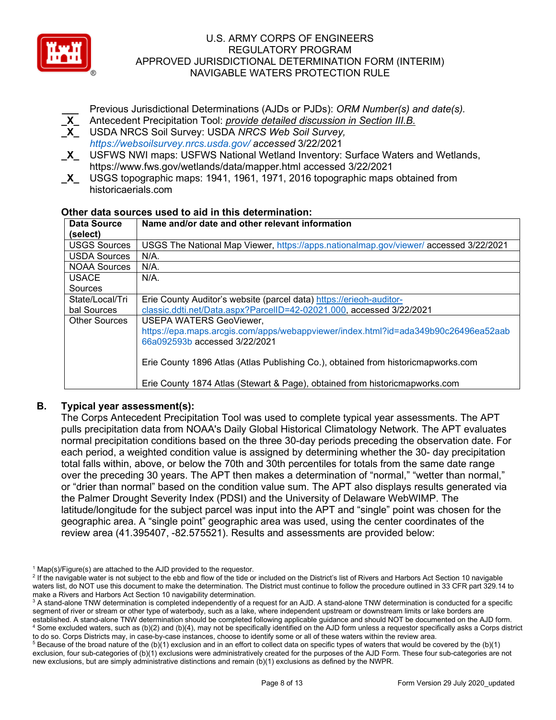

**\_\_\_** Previous Jurisdictional Determinations (AJDs or PJDs): *ORM Number(s) and date(s).*

- **\_X\_** Antecedent Precipitation Tool: *provide detailed discussion in Section III.B.*
- **\_X\_** USDA NRCS Soil Survey: USDA *NRCS Web Soil Survey, https://websoilsurvey.nrcs.usda.gov/ accessed* 3/22/2021
- **\_X\_** USFWS NWI maps: USFWS National Wetland Inventory: Surface Waters and Wetlands, https://www.fws.gov/wetlands/data/mapper.html accessed 3/22/2021
- **\_X\_** USGS topographic maps: 1941, 1961, 1971, 2016 topographic maps obtained from historicaerials.com

#### **Other data sources used to aid in this determination:**

| Data Source          | Name and/or date and other relevant information                                      |
|----------------------|--------------------------------------------------------------------------------------|
| (select)             |                                                                                      |
| <b>USGS Sources</b>  | USGS The National Map Viewer, https://apps.nationalmap.gov/viewer/accessed 3/22/2021 |
| <b>USDA Sources</b>  | $N/A$ .                                                                              |
| <b>NOAA Sources</b>  | $N/A$ .                                                                              |
| <b>USACE</b>         | $N/A$ .                                                                              |
| Sources              |                                                                                      |
| State/Local/Tri      | Erie County Auditor's website (parcel data) https://erieoh-auditor-                  |
| bal Sources          | classic.ddti.net/Data.aspx?ParcelID=42-02021.000, accessed 3/22/2021                 |
| <b>Other Sources</b> | <b>USEPA WATERS GeoViewer,</b>                                                       |
|                      | https://epa.maps.arcgis.com/apps/webappviewer/index.html?id=ada349b90c26496ea52aab   |
|                      | 66a092593b accessed 3/22/2021                                                        |
|                      |                                                                                      |
|                      | Erie County 1896 Atlas (Atlas Publishing Co.), obtained from historicmapworks.com    |
|                      |                                                                                      |
|                      | Erie County 1874 Atlas (Stewart & Page), obtained from historicmapworks.com          |

# **B. Typical year assessment(s):**

The Corps Antecedent Precipitation Tool was used to complete typical year assessments. The APT pulls precipitation data from NOAA's Daily Global Historical Climatology Network. The APT evaluates normal precipitation conditions based on the three 30-day periods preceding the observation date. For each period, a weighted condition value is assigned by determining whether the 30- day precipitation total falls within, above, or below the 70th and 30th percentiles for totals from the same date range over the preceding 30 years. The APT then makes a determination of "normal," "wetter than normal," or "drier than normal" based on the condition value sum. The APT also displays results generated via the Palmer Drought Severity Index (PDSI) and the University of Delaware WebWIMP. The latitude/longitude for the subject parcel was input into the APT and "single" point was chosen for the geographic area. A "single point" geographic area was used, using the center coordinates of the review area (41.395407, -82.575521). Results and assessments are provided below:

 $1$  Map(s)/Figure(s) are attached to the AJD provided to the requestor.

<sup>&</sup>lt;sup>2</sup> If the navigable water is not subject to the ebb and flow of the tide or included on the District's list of Rivers and Harbors Act Section 10 navigable waters list, do NOT use this document to make the determination. The District must continue to follow the procedure outlined in 33 CFR part 329.14 to make a Rivers and Harbors Act Section 10 navigability determination.

<sup>&</sup>lt;sup>3</sup> A stand-alone TNW determination is completed independently of a request for an AJD. A stand-alone TNW determination is conducted for a specific segment of river or stream or other type of waterbody, such as a lake, where independent upstream or downstream limits or lake borders are established. A stand-alone TNW determination should be completed following applicable guidance and should NOT be documented on the AJD form. <sup>4</sup> Some excluded waters, such as (b)(2) and (b)(4), may not be specifically identified on the AJD form unless a requestor specifically asks a Corps district to do so. Corps Districts may, in case-by-case instances, choose to identify some or all of these waters within the review area.

 $5$  Because of the broad nature of the (b)(1) exclusion and in an effort to collect data on specific types of waters that would be covered by the (b)(1) exclusion, four sub-categories of (b)(1) exclusions were administratively created for the purposes of the AJD Form. These four sub-categories are not new exclusions, but are simply administrative distinctions and remain (b)(1) exclusions as defined by the NWPR.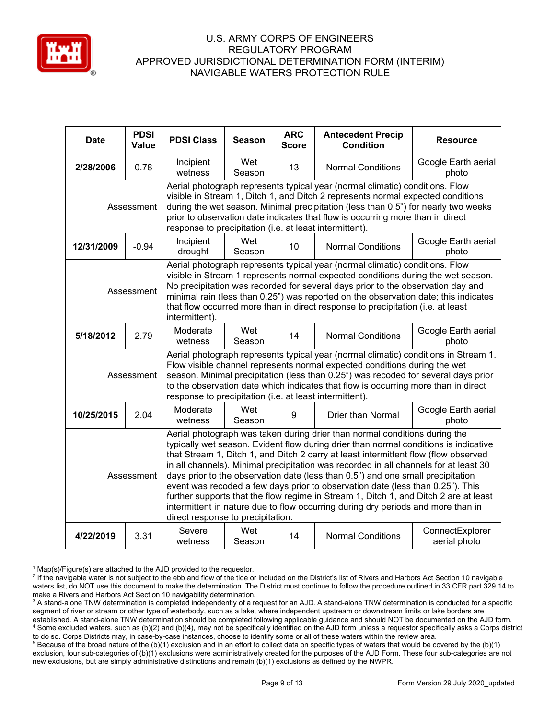

| <b>Date</b>                                                                                                                                                                                                                                                                                                                                                                                                                                                   | <b>PDSI</b><br>Value | <b>PDSI Class</b>                                                                                                                                                                                                                                                                                                                                                                                                                                                                                                                                                                                                                                                                                                                       | <b>Season</b> | <b>ARC</b><br><b>Score</b> | <b>Antecedent Precip</b><br><b>Condition</b> | <b>Resource</b>                 |  |
|---------------------------------------------------------------------------------------------------------------------------------------------------------------------------------------------------------------------------------------------------------------------------------------------------------------------------------------------------------------------------------------------------------------------------------------------------------------|----------------------|-----------------------------------------------------------------------------------------------------------------------------------------------------------------------------------------------------------------------------------------------------------------------------------------------------------------------------------------------------------------------------------------------------------------------------------------------------------------------------------------------------------------------------------------------------------------------------------------------------------------------------------------------------------------------------------------------------------------------------------------|---------------|----------------------------|----------------------------------------------|---------------------------------|--|
| 2/28/2006                                                                                                                                                                                                                                                                                                                                                                                                                                                     | 0.78                 | Incipient<br>wetness                                                                                                                                                                                                                                                                                                                                                                                                                                                                                                                                                                                                                                                                                                                    | Wet<br>Season | 13                         | <b>Normal Conditions</b>                     | Google Earth aerial<br>photo    |  |
| Assessment                                                                                                                                                                                                                                                                                                                                                                                                                                                    |                      | Aerial photograph represents typical year (normal climatic) conditions. Flow<br>visible in Stream 1, Ditch 1, and Ditch 2 represents normal expected conditions<br>during the wet season. Minimal precipitation (less than 0.5") for nearly two weeks<br>prior to observation date indicates that flow is occurring more than in direct<br>response to precipitation (i.e. at least intermittent).                                                                                                                                                                                                                                                                                                                                      |               |                            |                                              |                                 |  |
| 12/31/2009                                                                                                                                                                                                                                                                                                                                                                                                                                                    | $-0.94$              | Incipient<br>drought                                                                                                                                                                                                                                                                                                                                                                                                                                                                                                                                                                                                                                                                                                                    | Wet<br>Season | 10                         | <b>Normal Conditions</b>                     | Google Earth aerial<br>photo    |  |
| Aerial photograph represents typical year (normal climatic) conditions. Flow<br>visible in Stream 1 represents normal expected conditions during the wet season.<br>No precipitation was recorded for several days prior to the observation day and<br>Assessment<br>minimal rain (less than 0.25") was reported on the observation date; this indicates<br>that flow occurred more than in direct response to precipitation (i.e. at least<br>intermittent). |                      |                                                                                                                                                                                                                                                                                                                                                                                                                                                                                                                                                                                                                                                                                                                                         |               |                            |                                              |                                 |  |
| 5/18/2012                                                                                                                                                                                                                                                                                                                                                                                                                                                     | 2.79                 | Moderate<br>wetness                                                                                                                                                                                                                                                                                                                                                                                                                                                                                                                                                                                                                                                                                                                     | Wet<br>Season | 14                         | <b>Normal Conditions</b>                     | Google Earth aerial<br>photo    |  |
|                                                                                                                                                                                                                                                                                                                                                                                                                                                               | Assessment           | Aerial photograph represents typical year (normal climatic) conditions in Stream 1.<br>Flow visible channel represents normal expected conditions during the wet<br>season. Minimal precipitation (less than 0.25") was recoded for several days prior<br>to the observation date which indicates that flow is occurring more than in direct<br>response to precipitation (i.e. at least intermittent).                                                                                                                                                                                                                                                                                                                                 |               |                            |                                              |                                 |  |
| 10/25/2015                                                                                                                                                                                                                                                                                                                                                                                                                                                    | 2.04                 | Moderate<br>wetness                                                                                                                                                                                                                                                                                                                                                                                                                                                                                                                                                                                                                                                                                                                     | Wet<br>Season | 9                          | Drier than Normal                            | Google Earth aerial<br>photo    |  |
| Assessment                                                                                                                                                                                                                                                                                                                                                                                                                                                    |                      | Aerial photograph was taken during drier than normal conditions during the<br>typically wet season. Evident flow during drier than normal conditions is indicative<br>that Stream 1, Ditch 1, and Ditch 2 carry at least intermittent flow (flow observed<br>in all channels). Minimal precipitation was recorded in all channels for at least 30<br>days prior to the observation date (less than 0.5") and one small precipitation<br>event was recoded a few days prior to observation date (less than 0.25"). This<br>further supports that the flow regime in Stream 1, Ditch 1, and Ditch 2 are at least<br>intermittent in nature due to flow occurring during dry periods and more than in<br>direct response to precipitation. |               |                            |                                              |                                 |  |
| 4/22/2019                                                                                                                                                                                                                                                                                                                                                                                                                                                     | 3.31                 | Severe<br>wetness                                                                                                                                                                                                                                                                                                                                                                                                                                                                                                                                                                                                                                                                                                                       | Wet<br>Season | 14                         | <b>Normal Conditions</b>                     | ConnectExplorer<br>aerial photo |  |

 $1$  Map(s)/Figure(s) are attached to the AJD provided to the requestor.

<sup>&</sup>lt;sup>2</sup> If the navigable water is not subject to the ebb and flow of the tide or included on the District's list of Rivers and Harbors Act Section 10 navigable waters list, do NOT use this document to make the determination. The District must continue to follow the procedure outlined in 33 CFR part 329.14 to make a Rivers and Harbors Act Section 10 navigability determination.

<sup>&</sup>lt;sup>3</sup> A stand-alone TNW determination is completed independently of a request for an AJD. A stand-alone TNW determination is conducted for a specific segment of river or stream or other type of waterbody, such as a lake, where independent upstream or downstream limits or lake borders are established. A stand-alone TNW determination should be completed following applicable guidance and should NOT be documented on the AJD form. <sup>4</sup> Some excluded waters, such as (b)(2) and (b)(4), may not be specifically identified on the AJD form unless a requestor specifically asks a Corps district to do so. Corps Districts may, in case-by-case instances, choose to identify some or all of these waters within the review area.

<sup>&</sup>lt;sup>5</sup> Because of the broad nature of the (b)(1) exclusion and in an effort to collect data on specific types of waters that would be covered by the (b)(1) exclusion, four sub-categories of (b)(1) exclusions were administratively created for the purposes of the AJD Form. These four sub-categories are not new exclusions, but are simply administrative distinctions and remain (b)(1) exclusions as defined by the NWPR.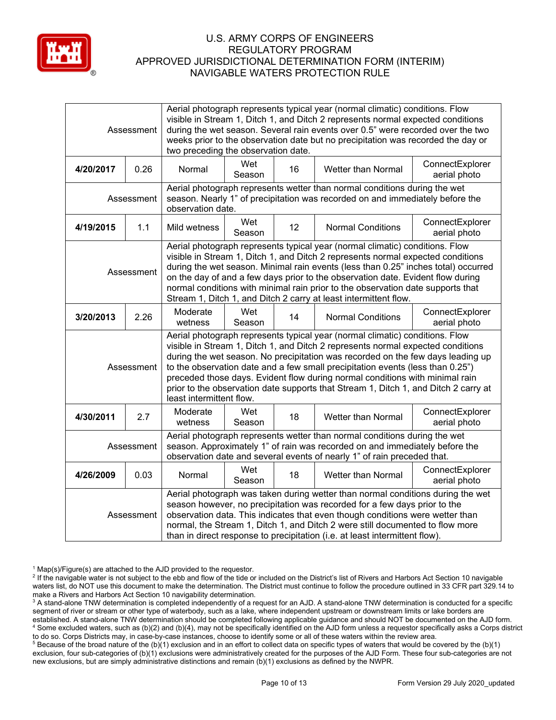

| Assessment                                                                                                                                                                                                                                                                                                                                                                                                                                                                                                    |      | Aerial photograph represents typical year (normal climatic) conditions. Flow<br>visible in Stream 1, Ditch 1, and Ditch 2 represents normal expected conditions<br>during the wet season. Several rain events over 0.5" were recorded over the two<br>weeks prior to the observation date but no precipitation was recorded the day or<br>two preceding the observation date.                                                                                                                                                           |               |                 |                           |                                 |  |
|---------------------------------------------------------------------------------------------------------------------------------------------------------------------------------------------------------------------------------------------------------------------------------------------------------------------------------------------------------------------------------------------------------------------------------------------------------------------------------------------------------------|------|-----------------------------------------------------------------------------------------------------------------------------------------------------------------------------------------------------------------------------------------------------------------------------------------------------------------------------------------------------------------------------------------------------------------------------------------------------------------------------------------------------------------------------------------|---------------|-----------------|---------------------------|---------------------------------|--|
| 4/20/2017                                                                                                                                                                                                                                                                                                                                                                                                                                                                                                     | 0.26 | Normal                                                                                                                                                                                                                                                                                                                                                                                                                                                                                                                                  | Wet<br>Season | 16              | <b>Wetter than Normal</b> | ConnectExplorer<br>aerial photo |  |
| Assessment                                                                                                                                                                                                                                                                                                                                                                                                                                                                                                    |      | Aerial photograph represents wetter than normal conditions during the wet<br>season. Nearly 1" of precipitation was recorded on and immediately before the<br>observation date.                                                                                                                                                                                                                                                                                                                                                         |               |                 |                           |                                 |  |
| 4/19/2015                                                                                                                                                                                                                                                                                                                                                                                                                                                                                                     | 1.1  | Mild wetness                                                                                                                                                                                                                                                                                                                                                                                                                                                                                                                            | Wet<br>Season | 12 <sup>°</sup> | <b>Normal Conditions</b>  | ConnectExplorer<br>aerial photo |  |
| Aerial photograph represents typical year (normal climatic) conditions. Flow<br>visible in Stream 1, Ditch 1, and Ditch 2 represents normal expected conditions<br>during the wet season. Minimal rain events (less than 0.25" inches total) occurred<br>Assessment<br>on the day of and a few days prior to the observation date. Evident flow during<br>normal conditions with minimal rain prior to the observation date supports that<br>Stream 1, Ditch 1, and Ditch 2 carry at least intermittent flow. |      |                                                                                                                                                                                                                                                                                                                                                                                                                                                                                                                                         |               |                 |                           |                                 |  |
| 3/20/2013                                                                                                                                                                                                                                                                                                                                                                                                                                                                                                     | 2.26 | Moderate<br>wetness                                                                                                                                                                                                                                                                                                                                                                                                                                                                                                                     | Wet<br>Season | 14              | <b>Normal Conditions</b>  | ConnectExplorer<br>aerial photo |  |
| Assessment                                                                                                                                                                                                                                                                                                                                                                                                                                                                                                    |      | Aerial photograph represents typical year (normal climatic) conditions. Flow<br>visible in Stream 1, Ditch 1, and Ditch 2 represents normal expected conditions<br>during the wet season. No precipitation was recorded on the few days leading up<br>to the observation date and a few small precipitation events (less than 0.25")<br>preceded those days. Evident flow during normal conditions with minimal rain<br>prior to the observation date supports that Stream 1, Ditch 1, and Ditch 2 carry at<br>least intermittent flow. |               |                 |                           |                                 |  |
| 4/30/2011                                                                                                                                                                                                                                                                                                                                                                                                                                                                                                     | 2.7  | Moderate<br>wetness                                                                                                                                                                                                                                                                                                                                                                                                                                                                                                                     | Wet<br>Season | 18              | Wetter than Normal        | ConnectExplorer<br>aerial photo |  |
| Assessment                                                                                                                                                                                                                                                                                                                                                                                                                                                                                                    |      | Aerial photograph represents wetter than normal conditions during the wet<br>season. Approximately 1" of rain was recorded on and immediately before the<br>observation date and several events of nearly 1" of rain preceded that.                                                                                                                                                                                                                                                                                                     |               |                 |                           |                                 |  |
| 4/26/2009                                                                                                                                                                                                                                                                                                                                                                                                                                                                                                     | 0.03 | Normal                                                                                                                                                                                                                                                                                                                                                                                                                                                                                                                                  | Wet<br>Season | 18              | <b>Wetter than Normal</b> | ConnectExplorer<br>aerial photo |  |
| Assessment                                                                                                                                                                                                                                                                                                                                                                                                                                                                                                    |      | Aerial photograph was taken during wetter than normal conditions during the wet<br>season however, no precipitation was recorded for a few days prior to the<br>observation data. This indicates that even though conditions were wetter than<br>normal, the Stream 1, Ditch 1, and Ditch 2 were still documented to flow more<br>than in direct response to precipitation (i.e. at least intermittent flow).                                                                                                                           |               |                 |                           |                                 |  |

 $1$  Map(s)/Figure(s) are attached to the AJD provided to the requestor.

<sup>&</sup>lt;sup>2</sup> If the navigable water is not subject to the ebb and flow of the tide or included on the District's list of Rivers and Harbors Act Section 10 navigable waters list, do NOT use this document to make the determination. The District must continue to follow the procedure outlined in 33 CFR part 329.14 to make a Rivers and Harbors Act Section 10 navigability determination.

<sup>&</sup>lt;sup>3</sup> A stand-alone TNW determination is completed independently of a request for an AJD. A stand-alone TNW determination is conducted for a specific segment of river or stream or other type of waterbody, such as a lake, where independent upstream or downstream limits or lake borders are established. A stand-alone TNW determination should be completed following applicable guidance and should NOT be documented on the AJD form. <sup>4</sup> Some excluded waters, such as (b)(2) and (b)(4), may not be specifically identified on the AJD form unless a requestor specifically asks a Corps district to do so. Corps Districts may, in case-by-case instances, choose to identify some or all of these waters within the review area.

<sup>&</sup>lt;sup>5</sup> Because of the broad nature of the (b)(1) exclusion and in an effort to collect data on specific types of waters that would be covered by the (b)(1) exclusion, four sub-categories of (b)(1) exclusions were administratively created for the purposes of the AJD Form. These four sub-categories are not new exclusions, but are simply administrative distinctions and remain (b)(1) exclusions as defined by the NWPR.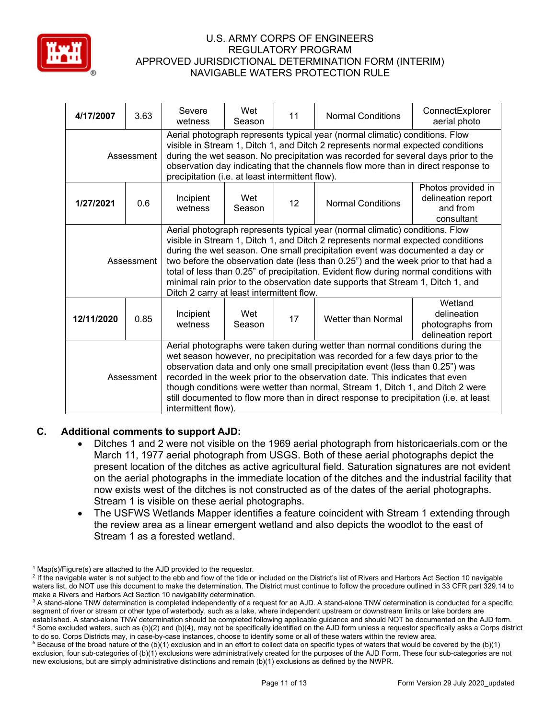

| 4/17/2007  | 3.63 | Severe<br>wetness                                                                                                                                                                                                                                                                                                                                                                                                                                                                                                                                              | Wet<br>Season | 11 | <b>Normal Conditions</b> | ConnectExplorer<br>aerial photo                                    |  |
|------------|------|----------------------------------------------------------------------------------------------------------------------------------------------------------------------------------------------------------------------------------------------------------------------------------------------------------------------------------------------------------------------------------------------------------------------------------------------------------------------------------------------------------------------------------------------------------------|---------------|----|--------------------------|--------------------------------------------------------------------|--|
| Assessment |      | Aerial photograph represents typical year (normal climatic) conditions. Flow<br>visible in Stream 1, Ditch 1, and Ditch 2 represents normal expected conditions<br>during the wet season. No precipitation was recorded for several days prior to the<br>observation day indicating that the channels flow more than in direct response to<br>precipitation (i.e. at least intermittent flow).                                                                                                                                                                 |               |    |                          |                                                                    |  |
| 1/27/2021  | 0.6  | Incipient<br>wetness                                                                                                                                                                                                                                                                                                                                                                                                                                                                                                                                           | Wet<br>Season | 12 | <b>Normal Conditions</b> | Photos provided in<br>delineation report<br>and from<br>consultant |  |
| Assessment |      | Aerial photograph represents typical year (normal climatic) conditions. Flow<br>visible in Stream 1, Ditch 1, and Ditch 2 represents normal expected conditions<br>during the wet season. One small precipitation event was documented a day or<br>two before the observation date (less than 0.25") and the week prior to that had a<br>total of less than 0.25" of precipitation. Evident flow during normal conditions with<br>minimal rain prior to the observation date supports that Stream 1, Ditch 1, and<br>Ditch 2 carry at least intermittent flow. |               |    |                          |                                                                    |  |
| 12/11/2020 | 0.85 | Incipient<br>wetness                                                                                                                                                                                                                                                                                                                                                                                                                                                                                                                                           | Wet<br>Season | 17 | Wetter than Normal       | Wetland<br>delineation<br>photographs from<br>delineation report   |  |
| Assessment |      | Aerial photographs were taken during wetter than normal conditions during the<br>wet season however, no precipitation was recorded for a few days prior to the<br>observation data and only one small precipitation event (less than 0.25") was<br>recorded in the week prior to the observation date. This indicates that even<br>though conditions were wetter than normal, Stream 1, Ditch 1, and Ditch 2 were<br>still documented to flow more than in direct response to precipitation (i.e. at least<br>intermittent flow).                              |               |    |                          |                                                                    |  |

# **C. Additional comments to support AJD:**

- Ditches 1 and 2 were not visible on the 1969 aerial photograph from historicaerials.com or the March 11, 1977 aerial photograph from USGS. Both of these aerial photographs depict the present location of the ditches as active agricultural field. Saturation signatures are not evident on the aerial photographs in the immediate location of the ditches and the industrial facility that now exists west of the ditches is not constructed as of the dates of the aerial photographs. Stream 1 is visible on these aerial photographs.
- The USFWS Wetlands Mapper identifies a feature coincident with Stream 1 extending through the review area as a linear emergent wetland and also depicts the woodlot to the east of Stream 1 as a forested wetland.

 $1$  Map(s)/Figure(s) are attached to the AJD provided to the requestor.

<sup>&</sup>lt;sup>2</sup> If the navigable water is not subject to the ebb and flow of the tide or included on the District's list of Rivers and Harbors Act Section 10 navigable waters list, do NOT use this document to make the determination. The District must continue to follow the procedure outlined in 33 CFR part 329.14 to make a Rivers and Harbors Act Section 10 navigability determination.

<sup>&</sup>lt;sup>3</sup> A stand-alone TNW determination is completed independently of a request for an AJD. A stand-alone TNW determination is conducted for a specific segment of river or stream or other type of waterbody, such as a lake, where independent upstream or downstream limits or lake borders are established. A stand-alone TNW determination should be completed following applicable guidance and should NOT be documented on the AJD form. <sup>4</sup> Some excluded waters, such as (b)(2) and (b)(4), may not be specifically identified on the AJD form unless a requestor specifically asks a Corps district to do so. Corps Districts may, in case-by-case instances, choose to identify some or all of these waters within the review area.

 $5$  Because of the broad nature of the (b)(1) exclusion and in an effort to collect data on specific types of waters that would be covered by the (b)(1) exclusion, four sub-categories of (b)(1) exclusions were administratively created for the purposes of the AJD Form. These four sub-categories are not new exclusions, but are simply administrative distinctions and remain (b)(1) exclusions as defined by the NWPR.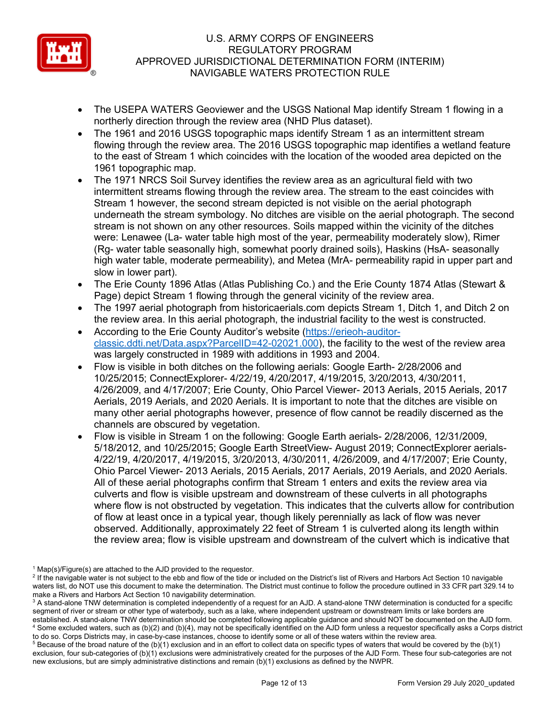

- The USEPA WATERS Geoviewer and the USGS National Map identify Stream 1 flowing in a northerly direction through the review area (NHD Plus dataset).
- The 1961 and 2016 USGS topographic maps identify Stream 1 as an intermittent stream flowing through the review area. The 2016 USGS topographic map identifies a wetland feature to the east of Stream 1 which coincides with the location of the wooded area depicted on the 1961 topographic map.
- The 1971 NRCS Soil Survey identifies the review area as an agricultural field with two intermittent streams flowing through the review area. The stream to the east coincides with Stream 1 however, the second stream depicted is not visible on the aerial photograph underneath the stream symbology. No ditches are visible on the aerial photograph. The second stream is not shown on any other resources. Soils mapped within the vicinity of the ditches were: Lenawee (La- water table high most of the year, permeability moderately slow), Rimer (Rg- water table seasonally high, somewhat poorly drained soils), Haskins (HsA- seasonally high water table, moderate permeability), and Metea (MrA- permeability rapid in upper part and slow in lower part).
- The Erie County 1896 Atlas (Atlas Publishing Co.) and the Erie County 1874 Atlas (Stewart & Page) depict Stream 1 flowing through the general vicinity of the review area.
- The 1997 aerial photograph from historicaerials.com depicts Stream 1, Ditch 1, and Ditch 2 on the review area. In this aerial photograph, the industrial facility to the west is constructed.
- According to the Erie County Auditor's website [\(https://erieoh-auditor](https://erieoh-auditor-classic.ddti.net/Data.aspx?ParcelID=42-02021.000)[classic.ddti.net/Data.aspx?ParcelID=42-02021.000\)](https://erieoh-auditor-classic.ddti.net/Data.aspx?ParcelID=42-02021.000), the facility to the west of the review area was largely constructed in 1989 with additions in 1993 and 2004.
- Flow is visible in both ditches on the following aerials: Google Earth- 2/28/2006 and 10/25/2015; ConnectExplorer- 4/22/19, 4/20/2017, 4/19/2015, 3/20/2013, 4/30/2011, 4/26/2009, and 4/17/2007; Erie County, Ohio Parcel Viewer- 2013 Aerials, 2015 Aerials, 2017 Aerials, 2019 Aerials, and 2020 Aerials. It is important to note that the ditches are visible on many other aerial photographs however, presence of flow cannot be readily discerned as the channels are obscured by vegetation.
- Flow is visible in Stream 1 on the following: Google Earth aerials- 2/28/2006, 12/31/2009, 5/18/2012, and 10/25/2015; Google Earth StreetView- August 2019; ConnectExplorer aerials-4/22/19, 4/20/2017, 4/19/2015, 3/20/2013, 4/30/2011, 4/26/2009, and 4/17/2007; Erie County, Ohio Parcel Viewer- 2013 Aerials, 2015 Aerials, 2017 Aerials, 2019 Aerials, and 2020 Aerials. All of these aerial photographs confirm that Stream 1 enters and exits the review area via culverts and flow is visible upstream and downstream of these culverts in all photographs where flow is not obstructed by vegetation. This indicates that the culverts allow for contribution of flow at least once in a typical year, though likely perennially as lack of flow was never observed. Additionally, approximately 22 feet of Stream 1 is culverted along its length within the review area; flow is visible upstream and downstream of the culvert which is indicative that

 $1$  Map(s)/Figure(s) are attached to the AJD provided to the requestor.

<sup>&</sup>lt;sup>2</sup> If the navigable water is not subject to the ebb and flow of the tide or included on the District's list of Rivers and Harbors Act Section 10 navigable waters list, do NOT use this document to make the determination. The District must continue to follow the procedure outlined in 33 CFR part 329.14 to make a Rivers and Harbors Act Section 10 navigability determination.

<sup>&</sup>lt;sup>3</sup> A stand-alone TNW determination is completed independently of a request for an AJD. A stand-alone TNW determination is conducted for a specific segment of river or stream or other type of waterbody, such as a lake, where independent upstream or downstream limits or lake borders are established. A stand-alone TNW determination should be completed following applicable guidance and should NOT be documented on the AJD form. <sup>4</sup> Some excluded waters, such as (b)(2) and (b)(4), may not be specifically identified on the AJD form unless a requestor specifically asks a Corps district to do so. Corps Districts may, in case-by-case instances, choose to identify some or all of these waters within the review area.

 $5$  Because of the broad nature of the (b)(1) exclusion and in an effort to collect data on specific types of waters that would be covered by the (b)(1) exclusion, four sub-categories of (b)(1) exclusions were administratively created for the purposes of the AJD Form. These four sub-categories are not new exclusions, but are simply administrative distinctions and remain (b)(1) exclusions as defined by the NWPR.